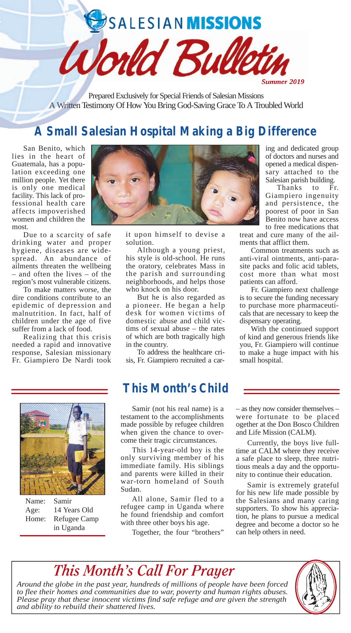

Prepared Exclusively for Special Friends of Salesian Missions A Written Testimony Of How You Bring God-Saving Grace To A Troubled World

## **A Small Salesian Hospital Making a Big Difference**

San Benito, which lies in the heart of Guatemala, has a population exceeding one million people. Yet there is only one medical facility. This lack of professional health care affects impoverished women and children the most.

Due to a scarcity of safe drinking water and proper hygiene, diseases are widespread. An abundance of ailments threaten the wellbeing – and often the lives – of the region's most vulnerable citizens.

To make matters worse, the dire conditions contribute to an epidemic of depression and malnutrition. In fact, half of children under the age of five suffer from a lack of food.

Realizing that this crisis needed a rapid and innovative response, Salesian missionary Fr. Giampiero De Nardi took



it upon himself to devise a solution.

Although a young priest, his style is old-school. He runs the oratory, celebrates Mass in the parish and surrounding neighborhoods, and helps those who knock on his door.

But he is also regarded as a pioneer. He began a help desk for women victims of domestic abuse and child victims of sexual abuse – the rates of which are both tragically high in the country.

To address the healthcare crisis, Fr. Giampiero recruited a car-

## **This Month's Child**

Samir (not his real name) is a testament to the accomplishments made possible by refugee children when given the chance to overcome their tragic circumstances.

This 14-year-old boy is the only surviving member of his immediate family. His siblings and parents were killed in their war-torn homeland of South Sudan.

All alone, Samir fled to a refugee camp in Uganda where he found friendship and comfort with three other boys his age.

Together, the four "brothers"

ing and dedicated group of doctors and nurses and opened a medical dispensary attached to the Salesian parish building.

Thanks to Fr. Giampiero ingenuity and persistence, the poorest of poor in San Benito now have access to free medications that

treat and cure many of the ailments that afflict them.

Common treatments such as anti-viral ointments, anti-parasite packs and folic acid tablets, cost more than what most patients can afford.

Fr. Giampiero next challenge is to secure the funding necessary to purchase more pharmaceuticals that are necessary to keep the dispensary operating.

With the continued support of kind and generous friends like you, Fr. Giampiero will continue to make a huge impact with his small hospital.

– as they now consider themselves – were fortunate to be placed ogether at the Don Bosco Children and Life Mission (CALM).

Currently, the boys live fulltime at CALM where they receive a safe place to sleep, three nutritious meals a day and the opportunity to continue their education.

Samir is extremely grateful for his new life made possible by the Salesians and many caring supporters. To show his appreciation, he plans to pursue a medical degree and become a doctor so he can help others in need.

*This Month's Call For Prayer*

*Around the globe in the past year, hundreds of millions of people have been forced to flee their homes and communities due to war, poverty and human rights abuses. Please pray that these innocent victims find safe refuge and are given the strength and ability to rebuild their shattered lives.*





Name: Samir Age: 14 Years Old Home: Refugee Camp in Uganda